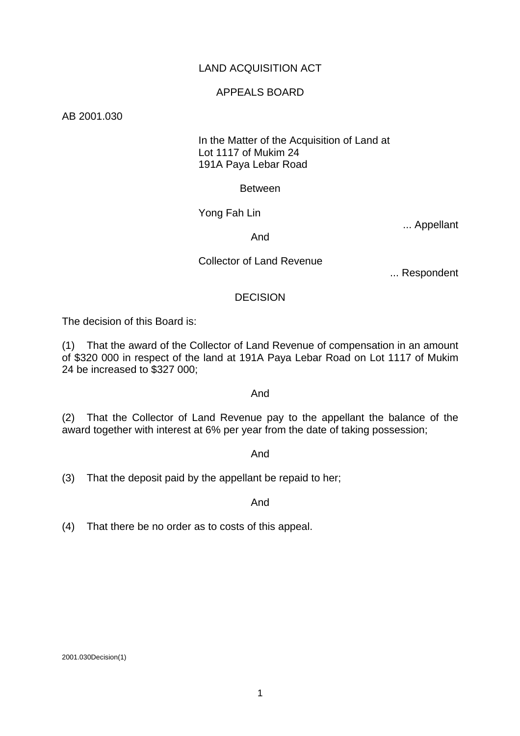# LAND ACQUISITION ACT

### APPEALS BOARD

AB 2001.030

## In the Matter of the Acquisition of Land at Lot 1117 of Mukim 24 191A Paya Lebar Road

#### Between

Yong Fah Lin

... Appellant

And

Collector of Land Revenue

... Respondent

### **DECISION**

The decision of this Board is:

(1) That the award of the Collector of Land Revenue of compensation in an amount of \$320 000 in respect of the land at 191A Paya Lebar Road on Lot 1117 of Mukim 24 be increased to \$327 000;

#### And

(2) That the Collector of Land Revenue pay to the appellant the balance of the award together with interest at 6% per year from the date of taking possession;

And

(3) That the deposit paid by the appellant be repaid to her;

And

(4) That there be no order as to costs of this appeal.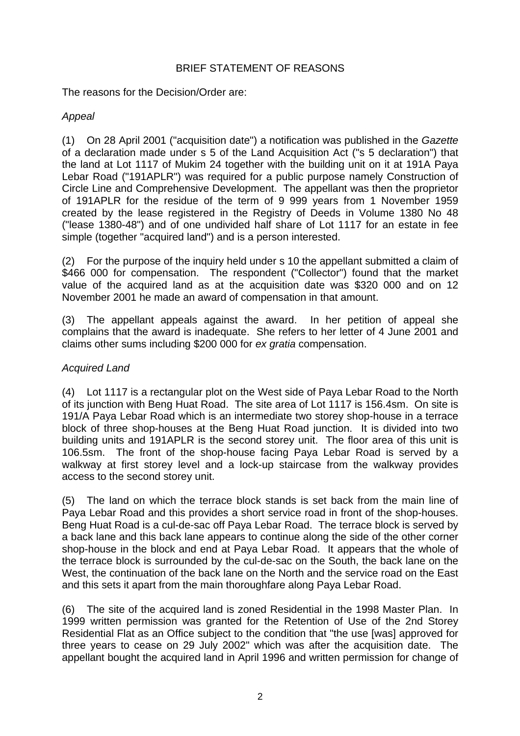# BRIEF STATEMENT OF REASONS

The reasons for the Decision/Order are:

# *Appeal*

(1) On 28 April 2001 ("acquisition date") a notification was published in the *Gazette* of a declaration made under s 5 of the Land Acquisition Act ("s 5 declaration") that the land at Lot 1117 of Mukim 24 together with the building unit on it at 191A Paya Lebar Road ("191APLR") was required for a public purpose namely Construction of Circle Line and Comprehensive Development. The appellant was then the proprietor of 191APLR for the residue of the term of 9 999 years from 1 November 1959 created by the lease registered in the Registry of Deeds in Volume 1380 No 48 ("lease 1380-48") and of one undivided half share of Lot 1117 for an estate in fee simple (together "acquired land") and is a person interested.

(2) For the purpose of the inquiry held under s 10 the appellant submitted a claim of \$466 000 for compensation. The respondent ("Collector") found that the market value of the acquired land as at the acquisition date was \$320 000 and on 12 November 2001 he made an award of compensation in that amount.

(3) The appellant appeals against the award. In her petition of appeal she complains that the award is inadequate. She refers to her letter of 4 June 2001 and claims other sums including \$200 000 for *ex gratia* compensation.

# *Acquired Land*

(4) Lot 1117 is a rectangular plot on the West side of Paya Lebar Road to the North of its junction with Beng Huat Road. The site area of Lot 1117 is 156.4sm. On site is 191/A Paya Lebar Road which is an intermediate two storey shop-house in a terrace block of three shop-houses at the Beng Huat Road junction. It is divided into two building units and 191APLR is the second storey unit. The floor area of this unit is 106.5sm. The front of the shop-house facing Paya Lebar Road is served by a walkway at first storey level and a lock-up staircase from the walkway provides access to the second storey unit.

(5) The land on which the terrace block stands is set back from the main line of Paya Lebar Road and this provides a short service road in front of the shop-houses. Beng Huat Road is a cul-de-sac off Paya Lebar Road. The terrace block is served by a back lane and this back lane appears to continue along the side of the other corner shop-house in the block and end at Paya Lebar Road. It appears that the whole of the terrace block is surrounded by the cul-de-sac on the South, the back lane on the West, the continuation of the back lane on the North and the service road on the East and this sets it apart from the main thoroughfare along Paya Lebar Road.

(6) The site of the acquired land is zoned Residential in the 1998 Master Plan. In 1999 written permission was granted for the Retention of Use of the 2nd Storey Residential Flat as an Office subject to the condition that "the use [was] approved for three years to cease on 29 July 2002" which was after the acquisition date. The appellant bought the acquired land in April 1996 and written permission for change of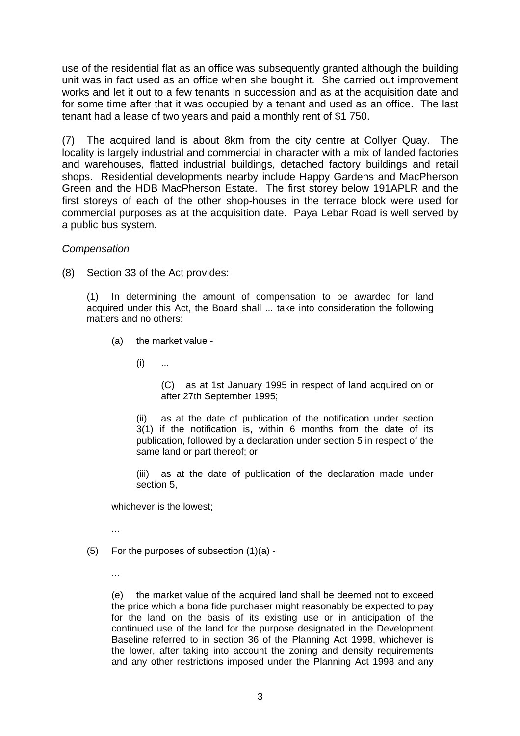use of the residential flat as an office was subsequently granted although the building unit was in fact used as an office when she bought it. She carried out improvement works and let it out to a few tenants in succession and as at the acquisition date and for some time after that it was occupied by a tenant and used as an office. The last tenant had a lease of two years and paid a monthly rent of \$1 750.

(7) The acquired land is about 8km from the city centre at Collyer Quay. The locality is largely industrial and commercial in character with a mix of landed factories and warehouses, flatted industrial buildings, detached factory buildings and retail shops. Residential developments nearby include Happy Gardens and MacPherson Green and the HDB MacPherson Estate. The first storey below 191APLR and the first storeys of each of the other shop-houses in the terrace block were used for commercial purposes as at the acquisition date. Paya Lebar Road is well served by a public bus system.

*Compensation*

(8) Section 33 of the Act provides:

(1) In determining the amount of compensation to be awarded for land acquired under this Act, the Board shall ... take into consideration the following matters and no others:

(a) the market value -

 $(i)$  ...

(C) as at 1st January 1995 in respect of land acquired on or after 27th September 1995;

(ii) as at the date of publication of the notification under section 3(1) if the notification is, within 6 months from the date of its publication, followed by a declaration under section 5 in respect of the same land or part thereof; or

(iii) as at the date of publication of the declaration made under section 5,

whichever is the lowest;

...

- (5) For the purposes of subsection (1)(a)
	- ...

(e) the market value of the acquired land shall be deemed not to exceed the price which a bona fide purchaser might reasonably be expected to pay for the land on the basis of its existing use or in anticipation of the continued use of the land for the purpose designated in the Development Baseline referred to in section 36 of the Planning Act 1998, whichever is the lower, after taking into account the zoning and density requirements and any other restrictions imposed under the Planning Act 1998 and any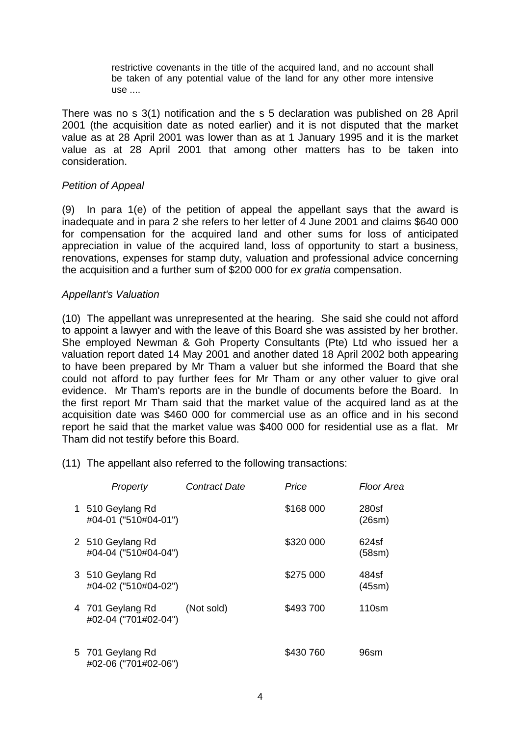restrictive covenants in the title of the acquired land, and no account shall be taken of any potential value of the land for any other more intensive use ....

There was no s 3(1) notification and the s 5 declaration was published on 28 April 2001 (the acquisition date as noted earlier) and it is not disputed that the market value as at 28 April 2001 was lower than as at 1 January 1995 and it is the market value as at 28 April 2001 that among other matters has to be taken into consideration.

### *Petition of Appeal*

(9) In para 1(e) of the petition of appeal the appellant says that the award is inadequate and in para 2 she refers to her letter of 4 June 2001 and claims \$640 000 for compensation for the acquired land and other sums for loss of anticipated appreciation in value of the acquired land, loss of opportunity to start a business, renovations, expenses for stamp duty, valuation and professional advice concerning the acquisition and a further sum of \$200 000 for *ex gratia* compensation.

### *Appellant's Valuation*

(10) The appellant was unrepresented at the hearing. She said she could not afford to appoint a lawyer and with the leave of this Board she was assisted by her brother. She employed Newman & Goh Property Consultants (Pte) Ltd who issued her a valuation report dated 14 May 2001 and another dated 18 April 2002 both appearing to have been prepared by Mr Tham a valuer but she informed the Board that she could not afford to pay further fees for Mr Tham or any other valuer to give oral evidence. Mr Tham's reports are in the bundle of documents before the Board. In the first report Mr Tham said that the market value of the acquired land as at the acquisition date was \$460 000 for commercial use as an office and in his second report he said that the market value was \$400 000 for residential use as a flat. Mr Tham did not testify before this Board.

(11) The appellant also referred to the following transactions:

| Property                                 | <b>Contract Date</b> | Price     | Floor Area      |
|------------------------------------------|----------------------|-----------|-----------------|
| 1 510 Geylang Rd<br>#04-01 ("510#04-01") |                      | \$168 000 | 280sf<br>(26sm) |
| 2 510 Geylang Rd<br>#04-04 ("510#04-04") |                      | \$320 000 | 624sf<br>(58sm) |
| 3 510 Geylang Rd<br>#04-02 ("510#04-02") |                      | \$275 000 | 484sf<br>(45sm) |
| 4 701 Geylang Rd<br>#02-04 ("701#02-04") | (Not sold)           | \$493700  | $110$ sm        |
| 5 701 Geylang Rd<br>#02-06 ("701#02-06") |                      | \$430 760 | 96sm            |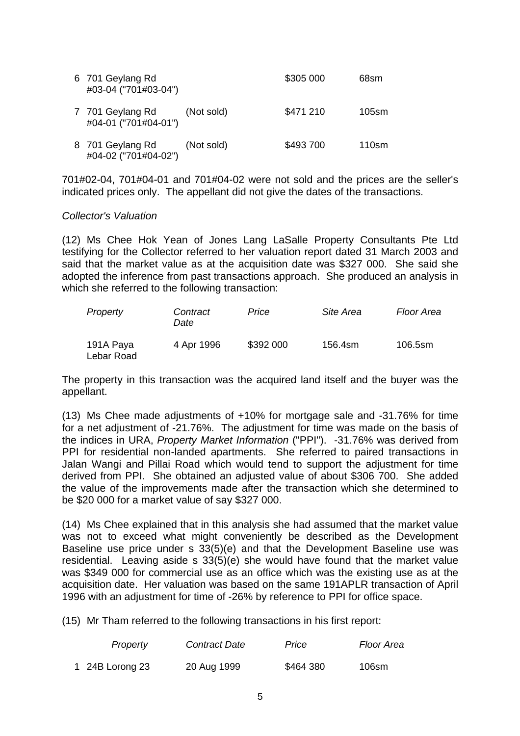| 6 701 Geylang Rd<br>#03-04 ("701#03-04") |            | \$305 000 | 68sm     |
|------------------------------------------|------------|-----------|----------|
| 7 701 Geylang Rd<br>#04-01 ("701#04-01") | (Not sold) | \$471 210 | $105$ sm |
| 8 701 Geylang Rd<br>#04-02 ("701#04-02") | (Not sold) | \$493700  | 110sm    |

701#02-04, 701#04-01 and 701#04-02 were not sold and the prices are the seller's indicated prices only. The appellant did not give the dates of the transactions.

#### *Collector's Valuation*

(12) Ms Chee Hok Yean of Jones Lang LaSalle Property Consultants Pte Ltd testifying for the Collector referred to her valuation report dated 31 March 2003 and said that the market value as at the acquisition date was \$327 000. She said she adopted the inference from past transactions approach. She produced an analysis in which she referred to the following transaction:

| Property                | Contract<br>Date | Price     | Site Area | Floor Area |
|-------------------------|------------------|-----------|-----------|------------|
| 191A Paya<br>Lebar Road | 4 Apr 1996       | \$392 000 | 156.4sm   | 106.5sm    |

The property in this transaction was the acquired land itself and the buyer was the appellant.

(13) Ms Chee made adjustments of +10% for mortgage sale and -31.76% for time for a net adjustment of -21.76%. The adjustment for time was made on the basis of the indices in URA, *Property Market Information* ("PPI"). -31.76% was derived from PPI for residential non-landed apartments. She referred to paired transactions in Jalan Wangi and Pillai Road which would tend to support the adjustment for time derived from PPI. She obtained an adjusted value of about \$306 700. She added the value of the improvements made after the transaction which she determined to be \$20 000 for a market value of say \$327 000.

(14) Ms Chee explained that in this analysis she had assumed that the market value was not to exceed what might conveniently be described as the Development Baseline use price under s 33(5)(e) and that the Development Baseline use was residential. Leaving aside s 33(5)(e) she would have found that the market value was \$349 000 for commercial use as an office which was the existing use as at the acquisition date. Her valuation was based on the same 191APLR transaction of April 1996 with an adjustment for time of -26% by reference to PPI for office space.

(15) Mr Tham referred to the following transactions in his first report:

| Property        | Contract Date | Price     | Floor Area |
|-----------------|---------------|-----------|------------|
| 1 24B Lorong 23 | 20 Aug 1999   | \$464 380 | 106sm      |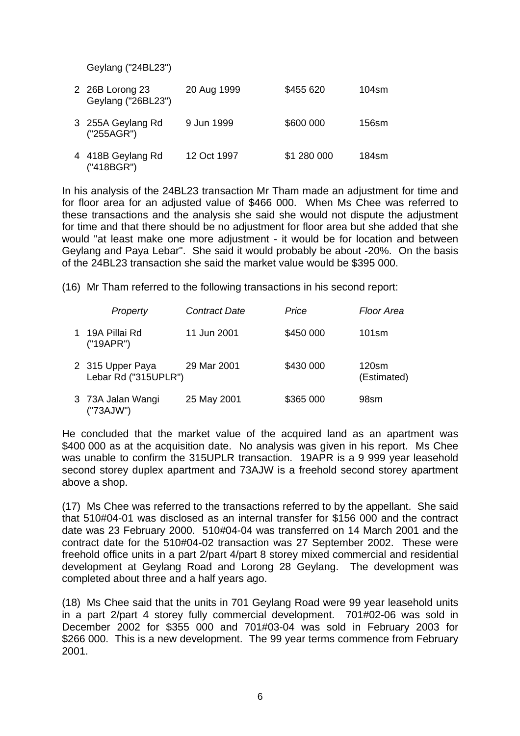Geylang ("24BL23")

| 2 26B Lorong 23<br>Geylang ("26BL23") | 20 Aug 1999 | \$455 620   | 104sm |
|---------------------------------------|-------------|-------------|-------|
| 3 255A Geylang Rd<br>("255AGR")       | 9 Jun 1999  | \$600 000   | 156sm |
| 4 418B Geylang Rd<br>("418BGR")       | 12 Oct 1997 | \$1 280 000 | 184sm |

In his analysis of the 24BL23 transaction Mr Tham made an adjustment for time and for floor area for an adjusted value of \$466 000. When Ms Chee was referred to these transactions and the analysis she said she would not dispute the adjustment for time and that there should be no adjustment for floor area but she added that she would "at least make one more adjustment - it would be for location and between Geylang and Paya Lebar". She said it would probably be about -20%. On the basis of the 24BL23 transaction she said the market value would be \$395 000.

(16) Mr Tham referred to the following transactions in his second report:

|    | Property                                 | <b>Contract Date</b> | Price     | Floor Area              |
|----|------------------------------------------|----------------------|-----------|-------------------------|
| 1. | 19A Pillai Rd<br>("19APR")               | 11 Jun 2001          | \$450 000 | 101sm                   |
|    | 2 315 Upper Paya<br>Lebar Rd ("315UPLR") | 29 Mar 2001          | \$430 000 | $120$ sm<br>(Estimated) |
|    | 3 73A Jalan Wangi<br>("73AJW")           | 25 May 2001          | \$365 000 | 98sm                    |

He concluded that the market value of the acquired land as an apartment was \$400 000 as at the acquisition date. No analysis was given in his report. Ms Chee was unable to confirm the 315UPLR transaction. 19APR is a 9 999 year leasehold second storey duplex apartment and 73AJW is a freehold second storey apartment above a shop.

(17) Ms Chee was referred to the transactions referred to by the appellant. She said that 510#04-01 was disclosed as an internal transfer for \$156 000 and the contract date was 23 February 2000. 510#04-04 was transferred on 14 March 2001 and the contract date for the 510#04-02 transaction was 27 September 2002. These were freehold office units in a part 2/part 4/part 8 storey mixed commercial and residential development at Geylang Road and Lorong 28 Geylang. The development was completed about three and a half years ago.

(18) Ms Chee said that the units in 701 Geylang Road were 99 year leasehold units in a part 2/part 4 storey fully commercial development. 701#02-06 was sold in December 2002 for \$355 000 and 701#03-04 was sold in February 2003 for \$266 000. This is a new development. The 99 year terms commence from February 2001.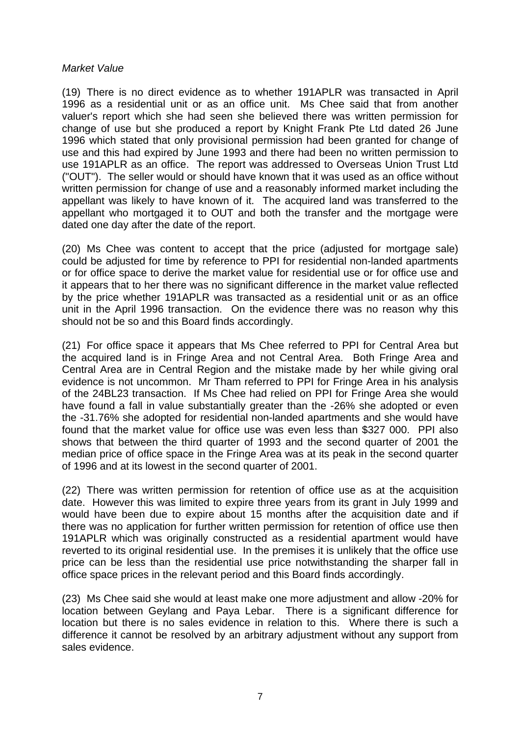### *Market Value*

(19) There is no direct evidence as to whether 191APLR was transacted in April 1996 as a residential unit or as an office unit. Ms Chee said that from another valuer's report which she had seen she believed there was written permission for change of use but she produced a report by Knight Frank Pte Ltd dated 26 June 1996 which stated that only provisional permission had been granted for change of use and this had expired by June 1993 and there had been no written permission to use 191APLR as an office. The report was addressed to Overseas Union Trust Ltd ("OUT"). The seller would or should have known that it was used as an office without written permission for change of use and a reasonably informed market including the appellant was likely to have known of it. The acquired land was transferred to the appellant who mortgaged it to OUT and both the transfer and the mortgage were dated one day after the date of the report.

(20) Ms Chee was content to accept that the price (adjusted for mortgage sale) could be adjusted for time by reference to PPI for residential non-landed apartments or for office space to derive the market value for residential use or for office use and it appears that to her there was no significant difference in the market value reflected by the price whether 191APLR was transacted as a residential unit or as an office unit in the April 1996 transaction. On the evidence there was no reason why this should not be so and this Board finds accordingly.

(21) For office space it appears that Ms Chee referred to PPI for Central Area but the acquired land is in Fringe Area and not Central Area. Both Fringe Area and Central Area are in Central Region and the mistake made by her while giving oral evidence is not uncommon. Mr Tham referred to PPI for Fringe Area in his analysis of the 24BL23 transaction. If Ms Chee had relied on PPI for Fringe Area she would have found a fall in value substantially greater than the -26% she adopted or even the -31.76% she adopted for residential non-landed apartments and she would have found that the market value for office use was even less than \$327 000. PPI also shows that between the third quarter of 1993 and the second quarter of 2001 the median price of office space in the Fringe Area was at its peak in the second quarter of 1996 and at its lowest in the second quarter of 2001.

(22) There was written permission for retention of office use as at the acquisition date. However this was limited to expire three years from its grant in July 1999 and would have been due to expire about 15 months after the acquisition date and if there was no application for further written permission for retention of office use then 191APLR which was originally constructed as a residential apartment would have reverted to its original residential use. In the premises it is unlikely that the office use price can be less than the residential use price notwithstanding the sharper fall in office space prices in the relevant period and this Board finds accordingly.

(23) Ms Chee said she would at least make one more adjustment and allow -20% for location between Geylang and Paya Lebar. There is a significant difference for location but there is no sales evidence in relation to this. Where there is such a difference it cannot be resolved by an arbitrary adjustment without any support from sales evidence.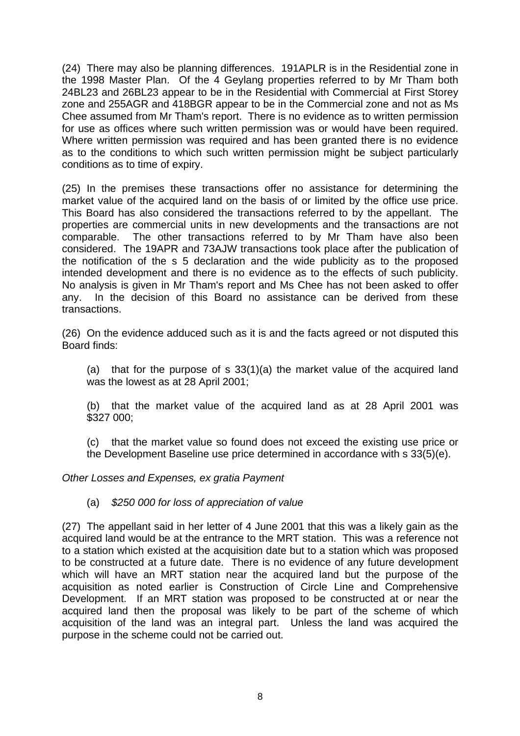(24) There may also be planning differences. 191APLR is in the Residential zone in the 1998 Master Plan. Of the 4 Geylang properties referred to by Mr Tham both 24BL23 and 26BL23 appear to be in the Residential with Commercial at First Storey zone and 255AGR and 418BGR appear to be in the Commercial zone and not as Ms Chee assumed from Mr Tham's report. There is no evidence as to written permission for use as offices where such written permission was or would have been required. Where written permission was required and has been granted there is no evidence as to the conditions to which such written permission might be subject particularly conditions as to time of expiry.

(25) In the premises these transactions offer no assistance for determining the market value of the acquired land on the basis of or limited by the office use price. This Board has also considered the transactions referred to by the appellant. The properties are commercial units in new developments and the transactions are not comparable. The other transactions referred to by Mr Tham have also been considered. The 19APR and 73AJW transactions took place after the publication of the notification of the s 5 declaration and the wide publicity as to the proposed intended development and there is no evidence as to the effects of such publicity. No analysis is given in Mr Tham's report and Ms Chee has not been asked to offer any. In the decision of this Board no assistance can be derived from these transactions.

(26) On the evidence adduced such as it is and the facts agreed or not disputed this Board finds:

(a) that for the purpose of s 33(1)(a) the market value of the acquired land was the lowest as at 28 April 2001;

(b) that the market value of the acquired land as at 28 April 2001 was \$327 000;

(c) that the market value so found does not exceed the existing use price or the Development Baseline use price determined in accordance with s 33(5)(e).

*Other Losses and Expenses, ex gratia Payment* 

(a) *\$250 000 for loss of appreciation of value*

(27) The appellant said in her letter of 4 June 2001 that this was a likely gain as the acquired land would be at the entrance to the MRT station. This was a reference not to a station which existed at the acquisition date but to a station which was proposed to be constructed at a future date. There is no evidence of any future development which will have an MRT station near the acquired land but the purpose of the acquisition as noted earlier is Construction of Circle Line and Comprehensive Development. If an MRT station was proposed to be constructed at or near the acquired land then the proposal was likely to be part of the scheme of which acquisition of the land was an integral part. Unless the land was acquired the purpose in the scheme could not be carried out.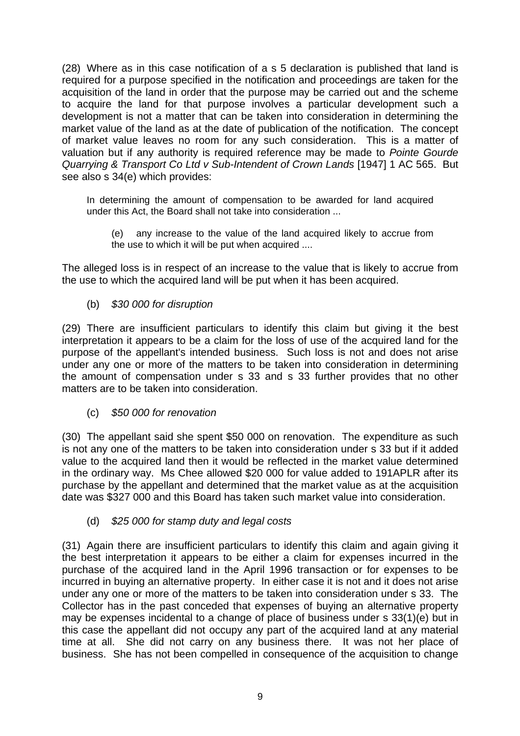(28) Where as in this case notification of a s 5 declaration is published that land is required for a purpose specified in the notification and proceedings are taken for the acquisition of the land in order that the purpose may be carried out and the scheme to acquire the land for that purpose involves a particular development such a development is not a matter that can be taken into consideration in determining the market value of the land as at the date of publication of the notification. The concept of market value leaves no room for any such consideration. This is a matter of valuation but if any authority is required reference may be made to *Pointe Gourde Quarrying & Transport Co Ltd v Sub-Intendent of Crown Lands* [1947] 1 AC 565. But see also s 34(e) which provides:

In determining the amount of compensation to be awarded for land acquired under this Act, the Board shall not take into consideration ...

 (e) any increase to the value of the land acquired likely to accrue from the use to which it will be put when acquired ....

The alleged loss is in respect of an increase to the value that is likely to accrue from the use to which the acquired land will be put when it has been acquired.

(b) *\$30 000 for disruption*

(29) There are insufficient particulars to identify this claim but giving it the best interpretation it appears to be a claim for the loss of use of the acquired land for the purpose of the appellant's intended business. Such loss is not and does not arise under any one or more of the matters to be taken into consideration in determining the amount of compensation under s 33 and s 33 further provides that no other matters are to be taken into consideration.

(c) *\$50 000 for renovation*

(30) The appellant said she spent \$50 000 on renovation. The expenditure as such is not any one of the matters to be taken into consideration under s 33 but if it added value to the acquired land then it would be reflected in the market value determined in the ordinary way. Ms Chee allowed \$20 000 for value added to 191APLR after its purchase by the appellant and determined that the market value as at the acquisition date was \$327 000 and this Board has taken such market value into consideration.

(d) *\$25 000 for stamp duty and legal costs*

(31) Again there are insufficient particulars to identify this claim and again giving it the best interpretation it appears to be either a claim for expenses incurred in the purchase of the acquired land in the April 1996 transaction or for expenses to be incurred in buying an alternative property. In either case it is not and it does not arise under any one or more of the matters to be taken into consideration under s 33. The Collector has in the past conceded that expenses of buying an alternative property may be expenses incidental to a change of place of business under s 33(1)(e) but in this case the appellant did not occupy any part of the acquired land at any material time at all. She did not carry on any business there. It was not her place of business. She has not been compelled in consequence of the acquisition to change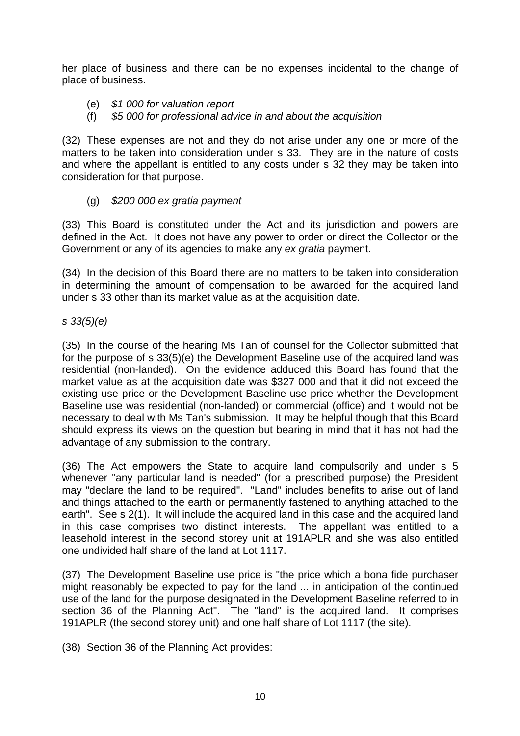her place of business and there can be no expenses incidental to the change of place of business.

- (e) *\$1 000 for valuation report*
- (f) *\$5 000 for professional advice in and about the acquisition*

(32) These expenses are not and they do not arise under any one or more of the matters to be taken into consideration under s 33. They are in the nature of costs and where the appellant is entitled to any costs under s 32 they may be taken into consideration for that purpose.

(g) *\$200 000 ex gratia payment*

(33) This Board is constituted under the Act and its jurisdiction and powers are defined in the Act. It does not have any power to order or direct the Collector or the Government or any of its agencies to make any *ex gratia* payment.

(34) In the decision of this Board there are no matters to be taken into consideration in determining the amount of compensation to be awarded for the acquired land under s 33 other than its market value as at the acquisition date.

# *s 33(5)(e)*

(35) In the course of the hearing Ms Tan of counsel for the Collector submitted that for the purpose of s 33(5)(e) the Development Baseline use of the acquired land was residential (non-landed). On the evidence adduced this Board has found that the market value as at the acquisition date was \$327 000 and that it did not exceed the existing use price or the Development Baseline use price whether the Development Baseline use was residential (non-landed) or commercial (office) and it would not be necessary to deal with Ms Tan's submission. It may be helpful though that this Board should express its views on the question but bearing in mind that it has not had the advantage of any submission to the contrary.

(36) The Act empowers the State to acquire land compulsorily and under s 5 whenever "any particular land is needed" (for a prescribed purpose) the President may "declare the land to be required". "Land" includes benefits to arise out of land and things attached to the earth or permanently fastened to anything attached to the earth". See s 2(1). It will include the acquired land in this case and the acquired land in this case comprises two distinct interests. The appellant was entitled to a leasehold interest in the second storey unit at 191APLR and she was also entitled one undivided half share of the land at Lot 1117.

(37) The Development Baseline use price is "the price which a bona fide purchaser might reasonably be expected to pay for the land ... in anticipation of the continued use of the land for the purpose designated in the Development Baseline referred to in section 36 of the Planning Act". The "land" is the acquired land. It comprises 191APLR (the second storey unit) and one half share of Lot 1117 (the site).

(38) Section 36 of the Planning Act provides: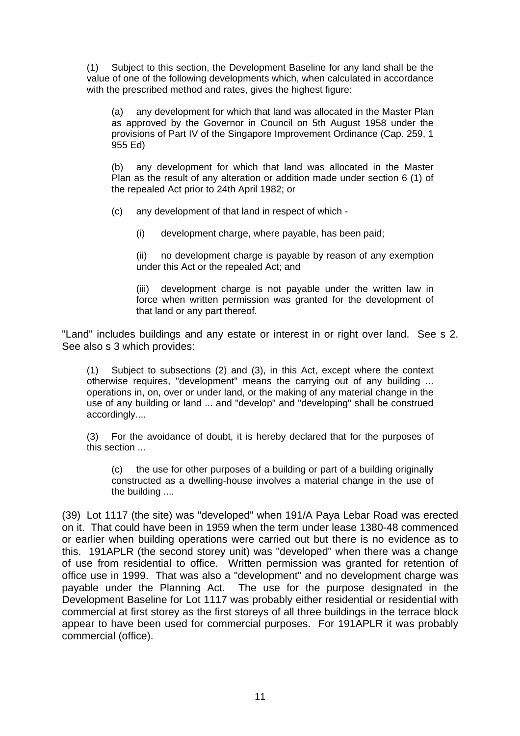(1) Subject to this section, the Development Baseline for any land shall be the value of one of the following developments which, when calculated in accordance with the prescribed method and rates, gives the highest figure:

 (a) any development for which that land was allocated in the Master Plan as approved by the Governor in Council on 5th August 1958 under the provisions of Part IV of the Singapore Improvement Ordinance (Cap. 259, 1 955 Ed)

 (b) any development for which that land was allocated in the Master Plan as the result of any alteration or addition made under section 6 (1) of the repealed Act prior to 24th April 1982; or

(c) any development of that land in respect of which -

(i) development charge, where payable, has been paid;

 (ii) no development charge is payable by reason of any exemption under this Act or the repealed Act; and

 (iii) development charge is not payable under the written law in force when written permission was granted for the development of that land or any part thereof.

"Land" includes buildings and any estate or interest in or right over land. See s 2. See also s 3 which provides:

(1) Subject to subsections (2) and (3), in this Act, except where the context otherwise requires, "development" means the carrying out of any building ... operations in, on, over or under land, or the making of any material change in the use of any building or land ... and "develop" and "developing" shall be construed accordingly....

(3) For the avoidance of doubt, it is hereby declared that for the purposes of this section ...

 (c) the use for other purposes of a building or part of a building originally constructed as a dwelling-house involves a material change in the use of the building ....

(39) Lot 1117 (the site) was "developed" when 191/A Paya Lebar Road was erected on it. That could have been in 1959 when the term under lease 1380-48 commenced or earlier when building operations were carried out but there is no evidence as to this. 191APLR (the second storey unit) was "developed" when there was a change of use from residential to office. Written permission was granted for retention of office use in 1999. That was also a "development" and no development charge was payable under the Planning Act. The use for the purpose designated in the Development Baseline for Lot 1117 was probably either residential or residential with commercial at first storey as the first storeys of all three buildings in the terrace block appear to have been used for commercial purposes. For 191APLR it was probably commercial (office).